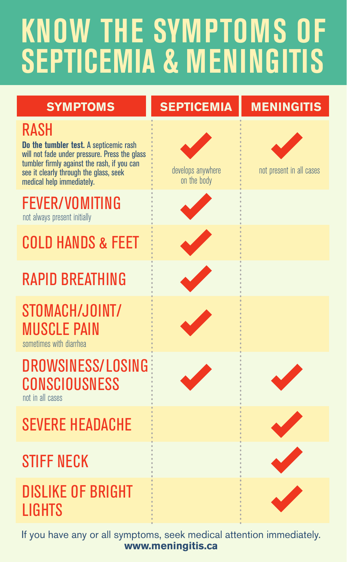## **KNOW THE SYMPTOMS OF SEPTICEMIA & MENINGITIS**



If you have any or all symptoms, seek medical attention immediately. **www.meningitis.ca**